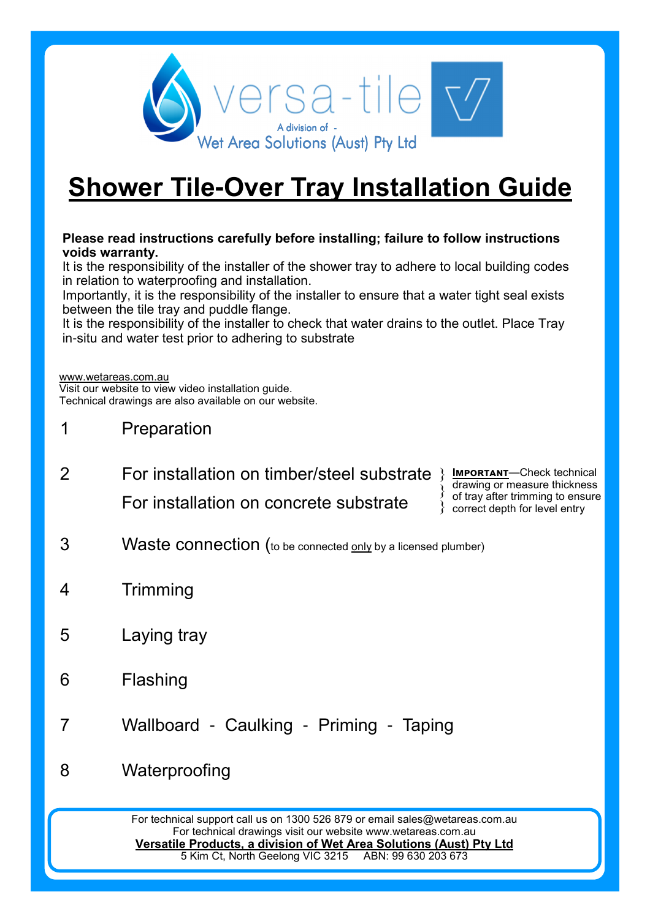

# **Shower Tile-Over Tray Installation Guide**

#### **Please read instructions carefully before installing; failure to follow instructions voids warranty.**

It is the responsibility of the installer of the shower tray to adhere to local building codes in relation to waterproofing and installation.

Importantly, it is the responsibility of the installer to ensure that a water tight seal exists between the tile tray and puddle flange.

It is the responsibility of the installer to check that water drains to the outlet. Place Tray in-situ and water test prior to adhering to substrate

www.wetareas.com.au

Visit our website to view video installation guide. Technical drawings are also available on our website.

- 1 Preparation
- 2 **For installation on timber/steel substrate** } **IMPORTANT**—Check technical For installation on concrete substrate

drawing or measure thickness of tray after trimming to ensure } correct depth for level entry }

- 3 Waste connection (to be connected only by a licensed plumber)
- 4 Trimming
- 5 Laying tray
- 6 Flashing
- 7 Wallboard Caulking Priming Taping
- 8 Waterproofing

For technical support call us on 1300 526 879 or email sales@wetareas.com.au For technical drawings visit our website www.wetareas.com.au **Versatile Products, a division of Wet Area Solutions (Aust) Pty Ltd**<br>5 Kim Ct, North Geelong VIC 3215 ABN: 99 630 203 673 5 Kim Ct, North Geelong VIC 3215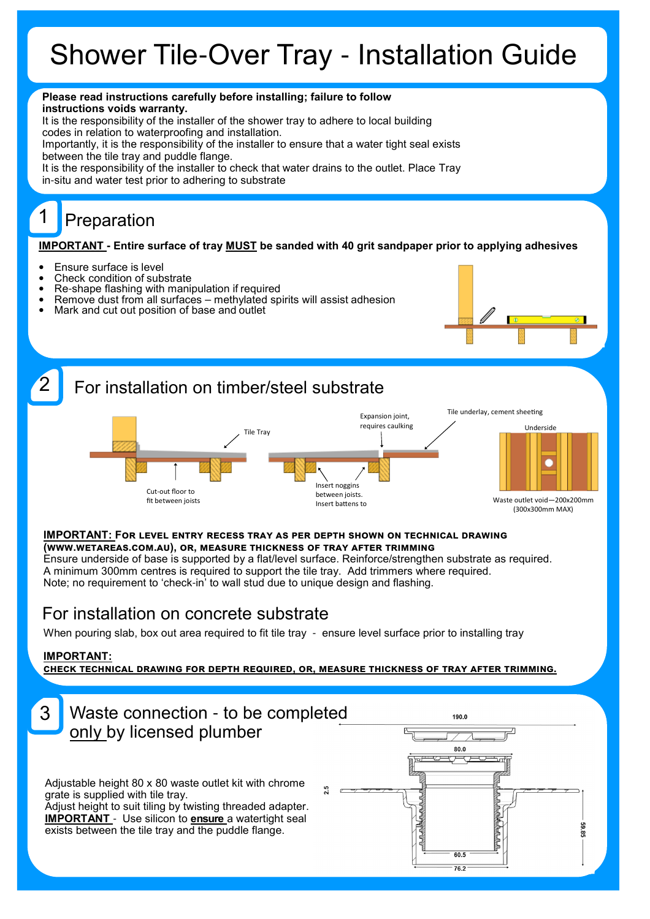# Shower Tile-Over Tray - Installation Guide



# For installation on concrete substrate

When pouring slab, box out area required to fit tile tray - ensure level surface prior to installing tray

#### **IMPORTANT:**

CHECK TECHNICAL DRAWING FOR DEPTH REQUIRED, OR, MEASURE THICKNESS OF TRAY AFTER TRIMMING.

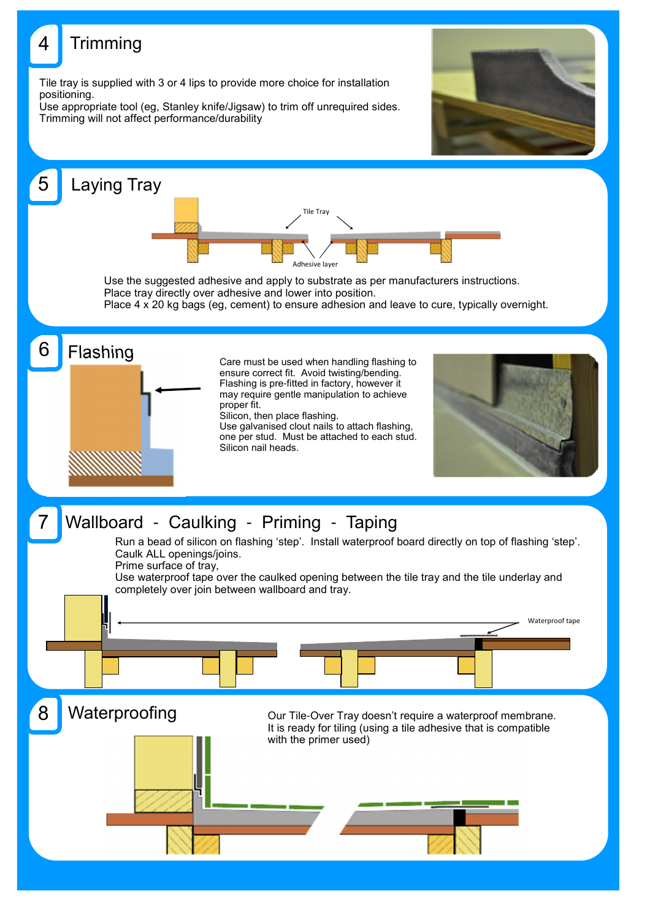